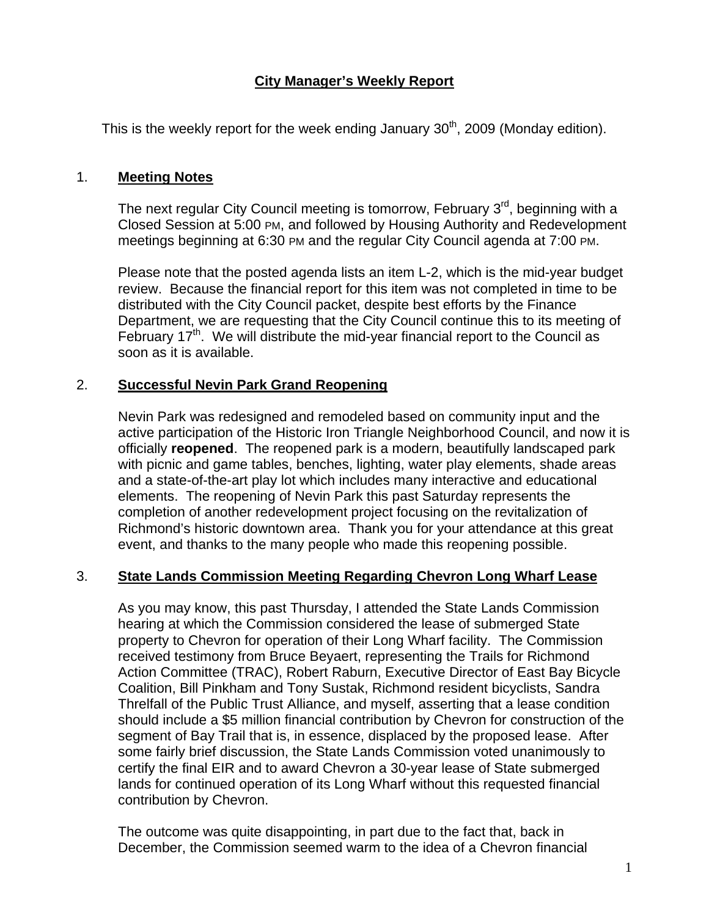# **City Manager's Weekly Report**

This is the weekly report for the week ending January  $30<sup>th</sup>$ , 2009 (Monday edition).

#### 1. **Meeting Notes**

The next regular City Council meeting is tomorrow, February  $3<sup>rd</sup>$ , beginning with a Closed Session at 5:00 PM, and followed by Housing Authority and Redevelopment meetings beginning at 6:30 PM and the regular City Council agenda at 7:00 PM.

Please note that the posted agenda lists an item L-2, which is the mid-year budget review. Because the financial report for this item was not completed in time to be distributed with the City Council packet, despite best efforts by the Finance Department, we are requesting that the City Council continue this to its meeting of February 17<sup>th</sup>. We will distribute the mid-year financial report to the Council as soon as it is available.

## 2. **Successful Nevin Park Grand Reopening**

Nevin Park was redesigned and remodeled based on community input and the active participation of the Historic Iron Triangle Neighborhood Council, and now it is officially **reopened**. The reopened park is a modern, beautifully landscaped park with picnic and game tables, benches, lighting, water play elements, shade areas and a state-of-the-art play lot which includes many interactive and educational elements. The reopening of Nevin Park this past Saturday represents the completion of another redevelopment project focusing on the revitalization of Richmond's historic downtown area. Thank you for your attendance at this great event, and thanks to the many people who made this reopening possible.

#### 3. **State Lands Commission Meeting Regarding Chevron Long Wharf Lease**

As you may know, this past Thursday, I attended the State Lands Commission hearing at which the Commission considered the lease of submerged State property to Chevron for operation of their Long Wharf facility. The Commission received testimony from Bruce Beyaert, representing the Trails for Richmond Action Committee (TRAC), Robert Raburn, Executive Director of East Bay Bicycle Coalition, Bill Pinkham and Tony Sustak, Richmond resident bicyclists, Sandra Threlfall of the Public Trust Alliance, and myself, asserting that a lease condition should include a \$5 million financial contribution by Chevron for construction of the segment of Bay Trail that is, in essence, displaced by the proposed lease. After some fairly brief discussion, the State Lands Commission voted unanimously to certify the final EIR and to award Chevron a 30-year lease of State submerged lands for continued operation of its Long Wharf without this requested financial contribution by Chevron.

The outcome was quite disappointing, in part due to the fact that, back in December, the Commission seemed warm to the idea of a Chevron financial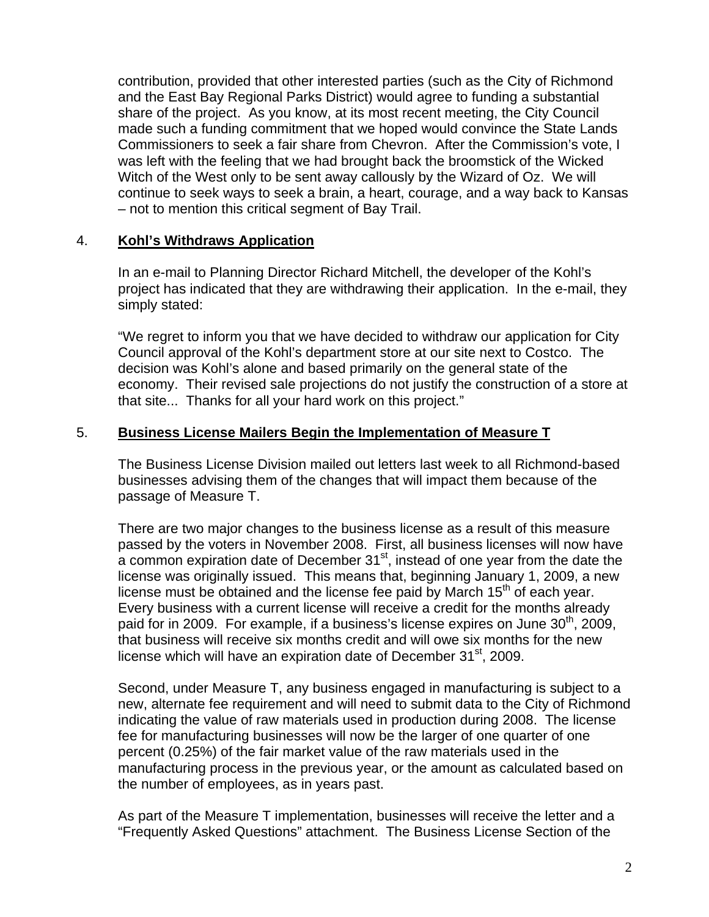contribution, provided that other interested parties (such as the City of Richmond and the East Bay Regional Parks District) would agree to funding a substantial share of the project. As you know, at its most recent meeting, the City Council made such a funding commitment that we hoped would convince the State Lands Commissioners to seek a fair share from Chevron. After the Commission's vote, I was left with the feeling that we had brought back the broomstick of the Wicked Witch of the West only to be sent away callously by the Wizard of Oz. We will continue to seek ways to seek a brain, a heart, courage, and a way back to Kansas – not to mention this critical segment of Bay Trail.

## 4. **Kohl's Withdraws Application**

In an e-mail to Planning Director Richard Mitchell, the developer of the Kohl's project has indicated that they are withdrawing their application. In the e-mail, they simply stated:

"We regret to inform you that we have decided to withdraw our application for City Council approval of the Kohl's department store at our site next to Costco. The decision was Kohl's alone and based primarily on the general state of the economy. Their revised sale projections do not justify the construction of a store at that site... Thanks for all your hard work on this project."

## 5. **Business License Mailers Begin the Implementation of Measure T**

The Business License Division mailed out letters last week to all Richmond-based businesses advising them of the changes that will impact them because of the passage of Measure T.

There are two major changes to the business license as a result of this measure passed by the voters in November 2008. First, all business licenses will now have  $\alpha$  common expiration date of December 31<sup>st</sup>, instead of one year from the date the license was originally issued. This means that, beginning January 1, 2009, a new license must be obtained and the license fee paid by March  $15<sup>th</sup>$  of each year. Every business with a current license will receive a credit for the months already paid for in 2009. For example, if a business's license expires on June  $30<sup>th</sup>$ , 2009, that business will receive six months credit and will owe six months for the new license which will have an expiration date of December  $31<sup>st</sup>$ , 2009.

Second, under Measure T, any business engaged in manufacturing is subject to a new, alternate fee requirement and will need to submit data to the City of Richmond indicating the value of raw materials used in production during 2008. The license fee for manufacturing businesses will now be the larger of one quarter of one percent (0.25%) of the fair market value of the raw materials used in the manufacturing process in the previous year, or the amount as calculated based on the number of employees, as in years past.

As part of the Measure T implementation, businesses will receive the letter and a "Frequently Asked Questions" attachment. The Business License Section of the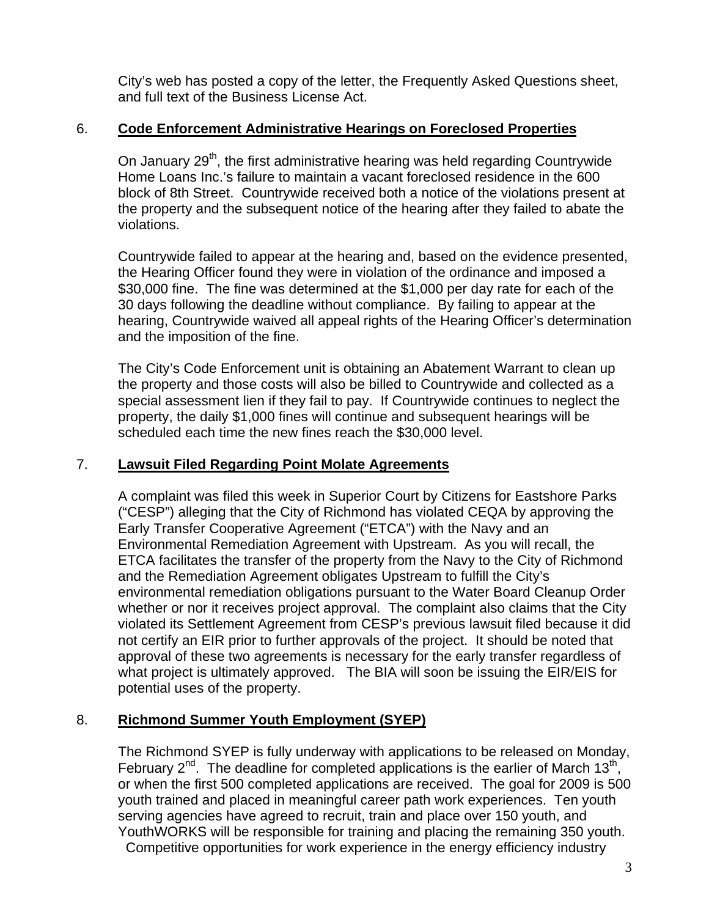City's web has posted a copy of the letter, the Frequently Asked Questions sheet, and full text of the Business License Act.

## 6. **Code Enforcement Administrative Hearings on Foreclosed Properties**

On January  $29<sup>th</sup>$ , the first administrative hearing was held regarding Countrywide Home Loans Inc.'s failure to maintain a vacant foreclosed residence in the 600 block of 8th Street. Countrywide received both a notice of the violations present at the property and the subsequent notice of the hearing after they failed to abate the violations.

Countrywide failed to appear at the hearing and, based on the evidence presented, the Hearing Officer found they were in violation of the ordinance and imposed a \$30,000 fine. The fine was determined at the \$1,000 per day rate for each of the 30 days following the deadline without compliance. By failing to appear at the hearing, Countrywide waived all appeal rights of the Hearing Officer's determination and the imposition of the fine.

The City's Code Enforcement unit is obtaining an Abatement Warrant to clean up the property and those costs will also be billed to Countrywide and collected as a special assessment lien if they fail to pay. If Countrywide continues to neglect the property, the daily \$1,000 fines will continue and subsequent hearings will be scheduled each time the new fines reach the \$30,000 level.

## 7. **Lawsuit Filed Regarding Point Molate Agreements**

A complaint was filed this week in Superior Court by Citizens for Eastshore Parks ("CESP") alleging that the City of Richmond has violated CEQA by approving the Early Transfer Cooperative Agreement ("ETCA") with the Navy and an Environmental Remediation Agreement with Upstream. As you will recall, the ETCA facilitates the transfer of the property from the Navy to the City of Richmond and the Remediation Agreement obligates Upstream to fulfill the City's environmental remediation obligations pursuant to the Water Board Cleanup Order whether or nor it receives project approval. The complaint also claims that the City violated its Settlement Agreement from CESP's previous lawsuit filed because it did not certify an EIR prior to further approvals of the project. It should be noted that approval of these two agreements is necessary for the early transfer regardless of what project is ultimately approved. The BIA will soon be issuing the EIR/EIS for potential uses of the property.

# 8. **Richmond Summer Youth Employment (SYEP)**

The Richmond SYEP is fully underway with applications to be released on Monday, February  $2^{nd}$ . The deadline for completed applications is the earlier of March 13<sup>th</sup>, or when the first 500 completed applications are received. The goal for 2009 is 500 youth trained and placed in meaningful career path work experiences. Ten youth serving agencies have agreed to recruit, train and place over 150 youth, and YouthWORKS will be responsible for training and placing the remaining 350 youth. Competitive opportunities for work experience in the energy efficiency industry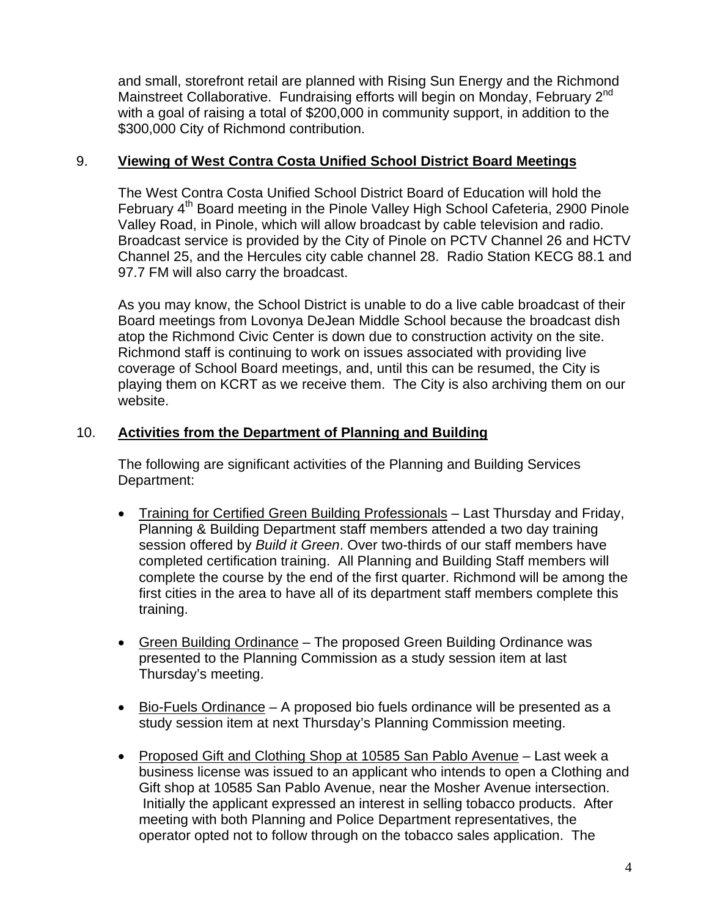and small, storefront retail are planned with Rising Sun Energy and the Richmond Mainstreet Collaborative. Fundraising efforts will begin on Monday, February 2<sup>nd</sup> with a goal of raising a total of \$200,000 in community support, in addition to the \$300,000 City of Richmond contribution.

## 9. **Viewing of West Contra Costa Unified School District Board Meetings**

The West Contra Costa Unified School District Board of Education will hold the February 4<sup>th</sup> Board meeting in the Pinole Valley High School Cafeteria, 2900 Pinole Valley Road, in Pinole, which will allow broadcast by cable television and radio. Broadcast service is provided by the City of Pinole on PCTV Channel 26 and HCTV Channel 25, and the Hercules city cable channel 28. Radio Station KECG 88.1 and 97.7 FM will also carry the broadcast.

As you may know, the School District is unable to do a live cable broadcast of their Board meetings from Lovonya DeJean Middle School because the broadcast dish atop the Richmond Civic Center is down due to construction activity on the site. Richmond staff is continuing to work on issues associated with providing live coverage of School Board meetings, and, until this can be resumed, the City is playing them on KCRT as we receive them. The City is also archiving them on our website.

## 10. **Activities from the Department of Planning and Building**

The following are significant activities of the Planning and Building Services Department:

- Training for Certified Green Building Professionals Last Thursday and Friday, Planning & Building Department staff members attended a two day training session offered by *Build it Green*. Over two-thirds of our staff members have completed certification training. All Planning and Building Staff members will complete the course by the end of the first quarter. Richmond will be among the first cities in the area to have all of its department staff members complete this training.
- Green Building Ordinance The proposed Green Building Ordinance was presented to the Planning Commission as a study session item at last Thursday's meeting.
- Bio-Fuels Ordinance A proposed bio fuels ordinance will be presented as a study session item at next Thursday's Planning Commission meeting.
- Proposed Gift and Clothing Shop at 10585 San Pablo Avenue Last week a business license was issued to an applicant who intends to open a Clothing and Gift shop at 10585 San Pablo Avenue, near the Mosher Avenue intersection. Initially the applicant expressed an interest in selling tobacco products. After meeting with both Planning and Police Department representatives, the operator opted not to follow through on the tobacco sales application. The